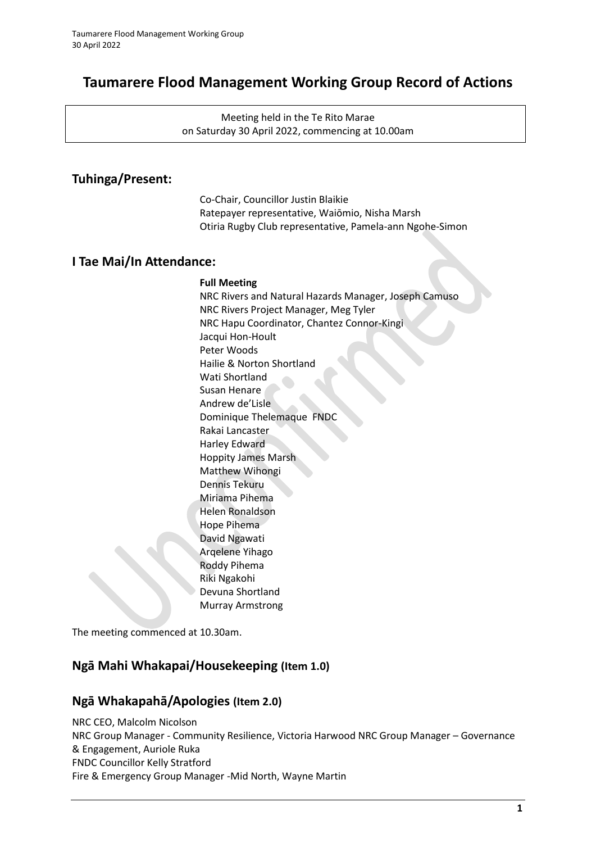# **Taumarere Flood Management Working Group Record of Actions**

Meeting held in the Te Rito Marae on Saturday 30 April 2022, commencing at 10.00am

## **Tuhinga/Present:**

Co-Chair, Councillor Justin Blaikie Ratepayer representative, Waiōmio, Nisha Marsh Otiria Rugby Club representative, Pamela-ann Ngohe-Simon

## **I Tae Mai/In Attendance:**

### **Full Meeting**

NRC Rivers and Natural Hazards Manager, Joseph Camuso NRC Rivers Project Manager, Meg Tyler NRC Hapu Coordinator, Chantez Connor-Kingi Jacqui Hon-Hoult Peter Woods Hailie & Norton Shortland Wati Shortland Susan Henare Andrew de'Lisle Dominique Thelemaque FNDC Rakai Lancaster Harley Edward Hoppity James Marsh Matthew Wihongi Dennis Tekuru Miriama Pihema Helen Ronaldson Hope Pihema David Ngawati Arqelene Yihago Roddy Pihema Riki Ngakohi Devuna Shortland Murray Armstrong

The meeting commenced at 10.30am.

## **Ngā Mahi Whakapai/Housekeeping (Item 1.0)**

## **Ngā Whakapahā/Apologies (Item 2.0)**

NRC CEO, Malcolm Nicolson NRC Group Manager - Community Resilience, Victoria Harwood NRC Group Manager – Governance & Engagement, Auriole Ruka FNDC Councillor Kelly Stratford Fire & Emergency Group Manager -Mid North, Wayne Martin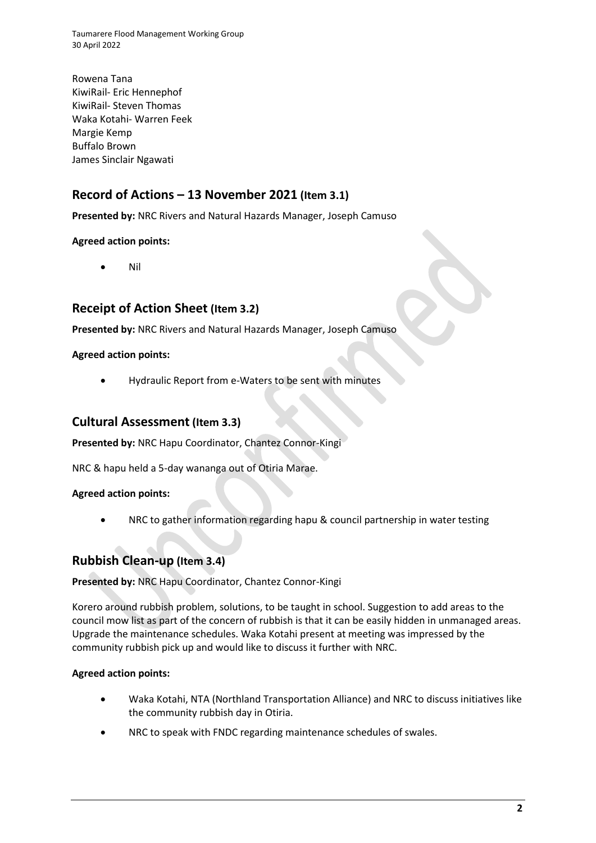Taumarere Flood Management Working Group 30 April 2022

Rowena Tana KiwiRail- Eric Hennephof KiwiRail- Steven Thomas Waka Kotahi- Warren Feek Margie Kemp Buffalo Brown James Sinclair Ngawati

## **Record of Actions – 13 November 2021 (Item 3.1)**

**Presented by:** NRC Rivers and Natural Hazards Manager, Joseph Camuso

### **Agreed action points:**

• Nil

## **Receipt of Action Sheet (Item 3.2)**

**Presented by:** NRC Rivers and Natural Hazards Manager, Joseph Camuso

### **Agreed action points:**

• Hydraulic Report from e-Waters to be sent with minutes

### **Cultural Assessment (Item 3.3)**

**Presented by:** NRC Hapu Coordinator, Chantez Connor-Kingi

NRC & hapu held a 5-day wananga out of Otiria Marae.

#### **Agreed action points:**

NRC to gather information regarding hapu & council partnership in water testing

## **Rubbish Clean-up (Item 3.4)**

#### **Presented by:** NRC Hapu Coordinator, Chantez Connor-Kingi

Korero around rubbish problem, solutions, to be taught in school. Suggestion to add areas to the council mow list as part of the concern of rubbish is that it can be easily hidden in unmanaged areas. Upgrade the maintenance schedules. Waka Kotahi present at meeting was impressed by the community rubbish pick up and would like to discuss it further with NRC.

#### **Agreed action points:**

- Waka Kotahi, NTA (Northland Transportation Alliance) and NRC to discuss initiatives like the community rubbish day in Otiria.
- NRC to speak with FNDC regarding maintenance schedules of swales.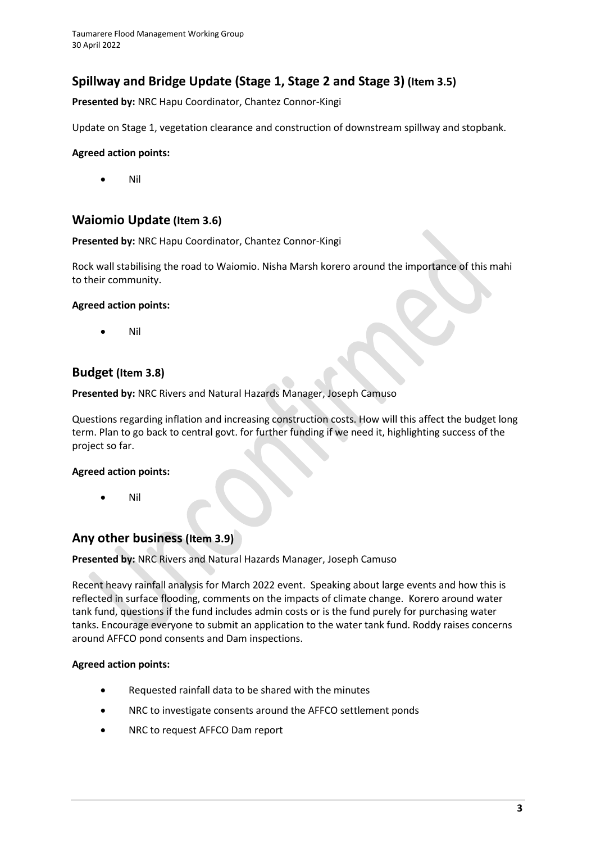# **Spillway and Bridge Update (Stage 1, Stage 2 and Stage 3) (Item 3.5)**

**Presented by:** NRC Hapu Coordinator, Chantez Connor-Kingi

Update on Stage 1, vegetation clearance and construction of downstream spillway and stopbank.

### **Agreed action points:**

• Nil

## **Waiomio Update (Item 3.6)**

### **Presented by:** NRC Hapu Coordinator, Chantez Connor-Kingi

Rock wall stabilising the road to Waiomio. Nisha Marsh korero around the importance of this mahi to their community.

### **Agreed action points:**

• Nil

## **Budget (Item 3.8)**

### **Presented by:** NRC Rivers and Natural Hazards Manager, Joseph Camuso

Questions regarding inflation and increasing construction costs. How will this affect the budget long term. Plan to go back to central govt. for further funding if we need it, highlighting success of the project so far.

### **Agreed action points:**

• Nil

## **Any other business (Item 3.9)**

**Presented by:** NRC Rivers and Natural Hazards Manager, Joseph Camuso

Recent heavy rainfall analysis for March 2022 event. Speaking about large events and how this is reflected in surface flooding, comments on the impacts of climate change. Korero around water tank fund, questions if the fund includes admin costs or is the fund purely for purchasing water tanks. Encourage everyone to submit an application to the water tank fund. Roddy raises concerns around AFFCO pond consents and Dam inspections.

### **Agreed action points:**

- Requested rainfall data to be shared with the minutes
- NRC to investigate consents around the AFFCO settlement ponds
- NRC to request AFFCO Dam report